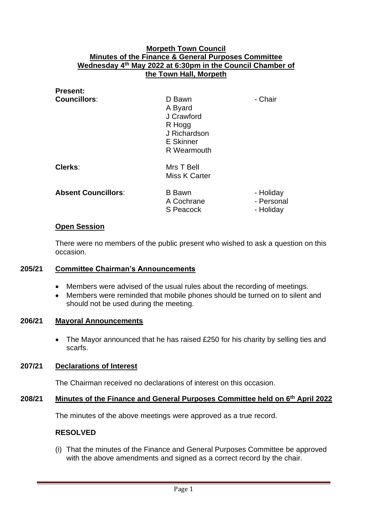## **Morpeth Town Council Minutes of the Finance & General Purposes Committee Wednesday 4 th May 2022 at 6:30pm in the Council Chamber of the Town Hall, Morpeth**

| <b>Present:</b>            |                                                                                              |                                      |
|----------------------------|----------------------------------------------------------------------------------------------|--------------------------------------|
| <b>Councillors:</b>        | D Bawn<br>A Byard<br>J Crawford<br>R Hogg<br>J Richardson<br><b>E</b> Skinner<br>R Wearmouth | - Chair                              |
| Clerks:                    | Mrs T Bell<br>Miss K Carter                                                                  |                                      |
| <b>Absent Councillors:</b> | <b>B</b> Bawn<br>A Cochrane<br>S Peacock                                                     | - Holiday<br>- Personal<br>- Holiday |

#### **Open Session**

There were no members of the public present who wished to ask a question on this occasion.

#### **205/21 Committee Chairman's Announcements**

- Members were advised of the usual rules about the recording of meetings.
- Members were reminded that mobile phones should be turned on to silent and should not be used during the meeting.

#### **206/21 Mayoral Announcements**

• The Mayor announced that he has raised £250 for his charity by selling ties and scarfs.

#### **207/21 Declarations of Interest**

The Chairman received no declarations of interest on this occasion.

#### **208/21 Minutes of the Finance and General Purposes Committee held on 6 th April 2022**

The minutes of the above meetings were approved as a true record.

#### **RESOLVED**

(i) That the minutes of the Finance and General Purposes Committee be approved with the above amendments and signed as a correct record by the chair.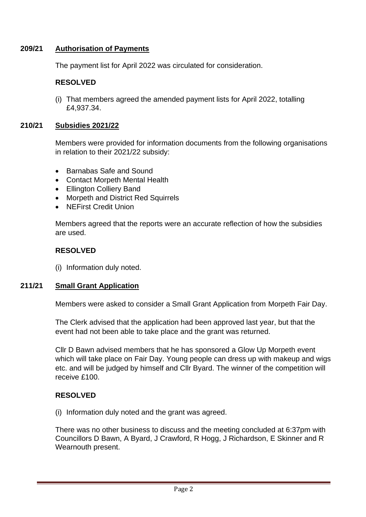# **209/21 Authorisation of Payments**

The payment list for April 2022 was circulated for consideration.

# **RESOLVED**

(i) That members agreed the amended payment lists for April 2022, totalling £4,937.34.

## **210/21 Subsidies 2021/22**

Members were provided for information documents from the following organisations in relation to their 2021/22 subsidy:

- Barnabas Safe and Sound
- Contact Morpeth Mental Health
- Ellington Colliery Band
- Morpeth and District Red Squirrels
- NEFirst Credit Union

Members agreed that the reports were an accurate reflection of how the subsidies are used.

#### **RESOLVED**

(i) Information duly noted.

#### **211/21 Small Grant Application**

Members were asked to consider a Small Grant Application from Morpeth Fair Day.

The Clerk advised that the application had been approved last year, but that the event had not been able to take place and the grant was returned.

Cllr D Bawn advised members that he has sponsored a Glow Up Morpeth event which will take place on Fair Day. Young people can dress up with makeup and wigs etc. and will be judged by himself and Cllr Byard. The winner of the competition will receive £100.

# **RESOLVED**

(i) Information duly noted and the grant was agreed.

There was no other business to discuss and the meeting concluded at 6:37pm with Councillors D Bawn, A Byard, J Crawford, R Hogg, J Richardson, E Skinner and R Wearnouth present.